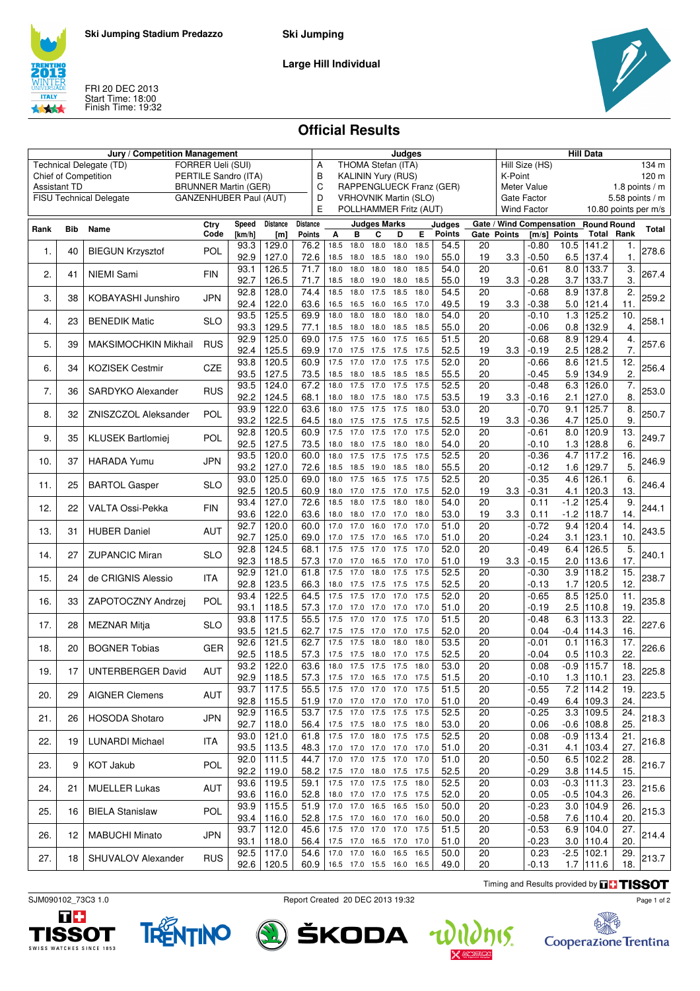







## **Official Results**

| Jury / Competition Management                       |            |                                |                               |        |                                   |                   |                                | Judges                         |                          |              |      |               |    |                                | <b>Hill Data</b>         |               |                    |     |                      |  |  |
|-----------------------------------------------------|------------|--------------------------------|-------------------------------|--------|-----------------------------------|-------------------|--------------------------------|--------------------------------|--------------------------|--------------|------|---------------|----|--------------------------------|--------------------------|---------------|--------------------|-----|----------------------|--|--|
| Technical Delegate (TD)<br><b>FORRER Ueli (SUI)</b> |            |                                |                               |        |                                   |                   |                                | <b>THOMA Stefan (ITA)</b><br>Α |                          |              |      |               |    |                                | Hill Size (HS)<br>134 m  |               |                    |     |                      |  |  |
| PERTILE Sandro (ITA)<br>Chief of Competition        |            |                                |                               |        |                                   |                   | B<br><b>KALININ Yury (RUS)</b> |                                |                          |              |      |               |    | 120 m<br>K-Point               |                          |               |                    |     |                      |  |  |
| <b>Assistant TD</b><br><b>BRUNNER Martin (GER)</b>  |            |                                |                               |        |                                   |                   | C<br>RAPPENGLUECK Franz (GER)  |                                |                          |              |      |               |    | Meter Value<br>1.8 points $/m$ |                          |               |                    |     |                      |  |  |
|                                                     |            | <b>FISU Technical Delegate</b> | <b>GANZENHUBER Paul (AUT)</b> |        | D<br><b>VRHOVNIK Martin (SLO)</b> |                   |                                |                                |                          |              |      | Gate Factor   |    |                                |                          |               | 5.58 points / m    |     |                      |  |  |
|                                                     |            |                                |                               |        |                                   | E                 |                                |                                | POLLHAMMER Fritz (AUT)   |              |      |               |    |                                | <b>Wind Factor</b>       |               |                    |     | 10.80 points per m/s |  |  |
|                                                     |            |                                | Ctry                          | Speed  | Distance                          | <b>Distance</b>   |                                |                                | <b>Judges Marks</b>      |              |      | Judges        |    |                                | Gate / Wind Compensation |               | <b>Round Round</b> |     |                      |  |  |
| Rank                                                | <b>Bib</b> | Name                           | Code                          | [km/h] | [m]                               | <b>Points</b>     | Α                              | в                              | C                        | D            | Е    | <b>Points</b> |    | Gate Points                    | [m/s]                    | <b>Points</b> | <b>Total Rank</b>  |     | <b>Total</b>         |  |  |
|                                                     |            |                                |                               | 93.3   | 129.0                             | 76.2              | 18.5                           | 18.0                           | 18.0                     | 18.0         | 18.5 | 54.5          | 20 |                                | $-0.80$                  | 10.5          | 141.2              | -1. |                      |  |  |
| 1.                                                  | 40         | <b>BIEGUN Krzysztof</b>        | POL                           | 92.9   | 127.0                             | 72.6              | 18.5                           | 18.0                           | 18.5                     | 18.0         | 19.0 | 55.0          | 19 | 3.3                            | $-0.50$                  | 6.5           | 137.4              | 1.  | 278.6                |  |  |
|                                                     |            |                                |                               | 93.1   | 126.5                             | 71.7              | 18.0                           | 18.0                           | 18.0                     | 18.0         | 18.5 | 54.0          | 20 |                                | $-0.61$                  | 8.0           | 133.7              | 3.  |                      |  |  |
| 2.                                                  | 41         | <b>NIEMI Sami</b>              | <b>FIN</b>                    | 92.7   | 126.5                             | 71.7              | 18.5                           |                                | 18.0 19.0                | 18.0         | 18.5 | 55.0          | 19 | 3.3                            | $-0.28$                  | 3.7           | 133.7              | 3.  | 267.4                |  |  |
|                                                     |            |                                |                               | 92.8   | 128.0                             | 74.4              | 18.5                           | 18.0                           | 17.5                     | 18.5         | 18.0 | 54.5          | 20 |                                | $-0.68$                  | 8.9           | 137.8              | 2.  |                      |  |  |
| 3.                                                  | 38         | KOBAYASHI Junshiro             | <b>JPN</b>                    | 92.4   | 122.0                             | 63.6              | 16.5                           |                                | 16.5 16.0                | 16.5         | 17.0 | 49.5          | 19 | 3.3                            | -0.38                    | 5.0           | 121.4              | 11. | 259.2                |  |  |
|                                                     |            |                                |                               | 93.5   | 125.5                             | 69.9              | 18.0                           | 18.0                           | 18.0                     | 18.0         | 18.0 | 54.0          | 20 |                                | $-0.10$                  | 1.3           | 125.2              | 10. |                      |  |  |
| 4.                                                  | 23         | <b>BENEDIK Matic</b>           | <b>SLO</b>                    | 93.3   | 129.5                             | 77.1              | 18.5                           |                                | 18.0 18.0                | 18.5         | 18.5 | 55.0          | 20 |                                | $-0.06$                  | 0.8           | 132.9              | 4.  | 258.1                |  |  |
|                                                     |            |                                |                               | 92.9   | 125.0                             | 69.0              | 17.5                           | 17.5                           | 16.0                     | 17.5         | 16.5 | 51.5          | 20 |                                | $-0.68$                  | 8.9           | 129.4              | 4.  |                      |  |  |
| 5.                                                  | 39         | <b>MAKSIMOCHKIN Mikhail</b>    | <b>RUS</b>                    | 92.4   | 125.5                             | 69.9              | 17.0                           |                                |                          |              | 17.5 | 52.5          | 19 | 3.3                            | $-0.19$                  | 2.5           | 128.2              | 7.  | 257.6                |  |  |
|                                                     |            |                                |                               | 93.8   | 120.5                             | 60.9              | 17.5                           | 17.5<br>17.0                   | 17.5<br>17.0             | 17.5<br>17.5 | 17.5 | 52.0          | 20 |                                | $-0.66$                  | 8.6           | 121.5              | 12. |                      |  |  |
| 6.                                                  | 34         | <b>KOZISEK Cestmir</b>         | CZE                           |        |                                   |                   |                                |                                |                          |              |      |               |    |                                |                          |               |                    |     | 256.4                |  |  |
|                                                     |            |                                |                               | 93.5   | 127.5                             | 73.5              | 18.5                           |                                | 18.0 18.5                | 18.5         | 18.5 | 55.5          | 20 |                                | $-0.45$                  | 5.9           | 134.9              | 2.  |                      |  |  |
| 7.                                                  | 36         | SARDYKO Alexander              | <b>RUS</b>                    | 93.5   | 124.0                             | 67.2              | 18.0                           | 17.5                           | 17.0                     | 17.5         | 17.5 | 52.5          | 20 |                                | $-0.48$                  | 6.3           | 126.0              | 7.  | 253.0                |  |  |
|                                                     |            |                                |                               | 92.2   | 124.5                             | 68.1              | 18.0                           |                                | 18.0 17.5                | 18.0         | 17.5 | 53.5          | 19 | 3.3                            | $-0.16$                  | 2.1           | 127.0              | 8.  |                      |  |  |
| 8.                                                  | 32         | <b>ZNISZCZOL Aleksander</b>    | POL                           | 93.9   | 122.0                             | 63.6              | 18.0                           | 17.5                           | 17.5                     | 17.5         | 18.0 | 53.0          | 20 |                                | $-0.70$                  | 9.1           | 125.7              | 8.  | 250.7                |  |  |
|                                                     |            |                                |                               | 93.2   | 122.5                             | 64.5              | 18.0                           | 17.5                           | 17.5                     | 17.5         | 17.5 | 52.5          | 19 | 3.3                            | $-0.36$                  | 4.7           | 125.0              | 9.  |                      |  |  |
| 9.                                                  | 35         | <b>KLUSEK Bartlomiej</b>       | POL                           | 92.8   | 120.5                             | 60.9              | 17.5                           | 17.0                           | 17.5                     | 17.0         | 17.5 | 52.0          | 20 |                                | $-0.61$                  | 8.0           | 120.9              | 13. | 249.7                |  |  |
|                                                     |            |                                |                               | 92.5   | 127.5                             | 73.5              | 18.0                           |                                | 18.0 17.5                | 18.0         | 18.0 | 54.0          | 20 |                                | $-0.10$                  | 1.3           | 128.8              | 6.  |                      |  |  |
| 10.                                                 | 37         | <b>HARADA Yumu</b>             | JPN                           | 93.5   | 120.0                             | 60.0              | 18.0                           | 17.5                           | 17.5                     | 17.5         | 17.5 | 52.5          | 20 |                                | $-0.36$                  | 4.7           | 117.2              | 16. | 246.9                |  |  |
|                                                     |            |                                |                               | 93.2   | 127.0                             | 72.6              | 18.5                           | 18.5                           | 19.0                     | 18.5         | 18.0 | 55.5          | 20 |                                | $-0.12$                  | 1.6           | 129.7              | 5.  |                      |  |  |
| 11.                                                 | 25         | <b>BARTOL Gasper</b>           | <b>SLO</b>                    | 93.0   | 125.0                             | 69.0              | 18.0                           | 17.5                           | 16.5                     | 17.5         | 17.5 | 52.5          | 20 |                                | $-0.35$                  | 4.6           | 126.1              | 6.  | 246.4                |  |  |
|                                                     |            |                                |                               | 92.5   | 120.5                             | 60.9              | 18.0                           |                                | 17.0 17.5                | 17.0         | 17.5 | 52.0          | 19 | 3.3                            | $-0.31$                  | 4.1           | 120.3              | 13. |                      |  |  |
| 12.                                                 | 22         | VALTA Ossi-Pekka               | FIN                           | 93.4   | 127.0                             | 72.6              | 18.5                           | 18.0                           | 17.5                     | 18.0         | 18.0 | 54.0          | 20 |                                | 0.11                     | $-1.2$        | 125.4              | 9.  | 244.1                |  |  |
|                                                     |            |                                |                               | 93.6   | 122.0                             | 63.6              | 18.0                           |                                | 18.0 17.0                | 17.0         | 18.0 | 53.0          | 19 | 3.3                            | 0.11                     | $-1.2$        | 118.7              | 14. |                      |  |  |
| 13.                                                 | 31         | <b>HUBER Daniel</b>            | <b>AUT</b>                    | 92.7   | 120.0                             | 60.0              | 17.0                           | 17.0                           | 16.0                     | 17.0         | 17.0 | 51.0          | 20 |                                | $-0.72$                  | 9.4           | 120.4              | 14. | 243.5                |  |  |
|                                                     |            |                                |                               | 92.7   | 125.0                             | 69.0              |                                |                                | 17.0 17.5 17.0 16.5      |              | 17.0 | 51.0          | 20 |                                | $-0.24$                  | 3.1           | 123.1              | 10. |                      |  |  |
| 14.                                                 | 27         | <b>ZUPANCIC Miran</b>          | <b>SLO</b>                    | 92.8   | 124.5                             | 68.1              | 17.5                           | 17.5                           | 17.0                     | 17.5         | 17.0 | 52.0          | 20 |                                | $-0.49$                  | 6.4           | 126.5              | 5.  | 240.1                |  |  |
|                                                     |            |                                |                               | 92.3   | 118.5                             | 57.3              | 17.0                           | 17.0                           | 16.5                     | 17.0         | 17.0 | 51.0          | 19 | 3.3                            | $-0.15$                  | 2.0           | 113.6              | 17. |                      |  |  |
| 15.                                                 | 24         | de CRIGNIS Alessio             | <b>ITA</b>                    | 92.9   | 121.0                             | 61.8              | 17.5                           | 17.0                           | 18.0                     | 17.5         | 17.5 | 52.5          | 20 |                                | $-0.30$                  | 3.9           | 118.2              | 15. | 238.7                |  |  |
|                                                     |            |                                |                               | 92.8   | 123.5                             | 66.3              | 18.0                           |                                | 17.5 17.5                | 17.5         | 17.5 | 52.5          | 20 |                                | $-0.13$                  | 1.7           | 120.5              | 12. |                      |  |  |
| 16.                                                 | 33         | ZAPOTOCZNY Andrzej             | POL                           | 93.4   | 122.5                             | 64.5              | 17.5                           | 17.5                           | 17.0                     | 17.0         | 17.5 | 52.0          | 20 |                                | $-0.65$                  | 8.5           | 125.0              | 11. | 235.8                |  |  |
|                                                     |            |                                |                               | 93.1   | 118.5                             | 57.3              | 17.0                           |                                | 17.0 17.0 17.0           |              | 17.0 | 51.0          | 20 |                                | -0.19                    | 2.5           | 110.8              | 19. |                      |  |  |
| 17.                                                 | 28         | <b>MEZNAR Mitja</b>            | <b>SLO</b>                    | 93.8   | 117.5                             | 55.5              | 17.5                           | 17.0                           | 17.0                     | 17.5         | 17.0 | 51.5          | 20 |                                | $-0.48$                  | 6.3           | 113.3              | 22. | 227.6                |  |  |
|                                                     |            |                                |                               | 93.5   | 121.5                             | 62.7              |                                |                                | 17.5 17.5 17.0 17.0 17.5 |              |      | 52.0          | 20 |                                | 0.04                     | $-0.4$        | 114.3              | 16. |                      |  |  |
| 18.                                                 | 20         | <b>BOGNER Tobias</b>           | GER                           | 92.6   | 121.5                             | 62.7              | 17.5                           | 17.5                           | 18.0                     | 18.0         | 18.0 | 53.5          | 20 |                                | -0.01                    | 0.1           | 116.3              | 17. | 226.6                |  |  |
|                                                     |            |                                |                               | 92.5   | 118.5                             | 57.3              | 17.5                           | 17.5                           | 18.0                     | 17.0         | 17.5 | 52.5          | 20 |                                | $-0.04$                  | 0.5           | 110.3              | 22. |                      |  |  |
| 19.                                                 | 17         | UNTERBERGER David              | AUT                           | 93.2   | 122.0                             | 63.6              | 18.0                           |                                | 17.5 17.5                | 17.5         | 18.0 | 53.0          | 20 |                                | 0.08                     | -0.9          | 115.7              | 18. | 225.8                |  |  |
|                                                     |            |                                |                               |        | 92.9 118.5                        | 57.3              |                                |                                | 17.5 17.0 16.5 17.0      |              | 17.5 | 51.5          | 20 |                                | -0.10                    |               | $1.3$   110.1      | 23. |                      |  |  |
| 20.                                                 | 29         | <b>AIGNER Clemens</b>          | <b>AUT</b>                    | 93.7   | 117.5                             | 55.5              |                                |                                | 17.5 17.0 17.0 17.0      |              | 17.5 | 51.5          | 20 |                                | $-0.55$                  |               | 7.2 114.2          | 19. | 223.5                |  |  |
|                                                     |            |                                |                               | 92.8   | 115.5                             | 51.9              |                                |                                | 17.0 17.0 17.0 17.0 17.0 |              |      | 51.0          | 20 |                                | $-0.49$                  |               | 6.4 109.3          | 24. |                      |  |  |
| 21.                                                 | 26         | <b>HOSODA Shotaro</b>          | <b>JPN</b>                    | 92.9   | 116.5                             | 53.7              |                                |                                | 17.5 17.0 17.5 17.5 17.5 |              |      | 52.5          | 20 |                                | $-0.25$                  |               | 3.3 109.5          | 24. | 218.3                |  |  |
|                                                     |            |                                |                               | 92.7   | 118.0                             | 56.4              |                                |                                | 17.5 17.5 18.0 17.5 18.0 |              |      | 53.0          | 20 |                                | 0.06                     |               | $-0.6$ 108.8       | 25. |                      |  |  |
|                                                     |            |                                | ITA                           | 93.0   | 121.0                             | $61.\overline{8}$ |                                |                                | 17.5 17.0 18.0 17.5 17.5 |              |      | 52.5          | 20 |                                | 0.08                     | $-0.9$        | 113.4              | 21. |                      |  |  |
| 22.                                                 | 19         | <b>LUNARDI Michael</b>         |                               | 93.5   | 113.5                             | 48.3              |                                |                                | 17.0 17.0 17.0 17.0 17.0 |              |      | 51.0          | 20 |                                | -0.31                    | 4.1           | 103.4              | 27. | 216.8                |  |  |
|                                                     |            |                                |                               | 92.0   | 111.5                             | 44.7              |                                |                                | 17.0 17.0 17.5 17.0      |              | 17.0 | 51.0          | 20 |                                | $-0.50$                  |               | $6.5$ 102.2        | 28. |                      |  |  |
| 23.                                                 | 9          | <b>KOT Jakub</b>               | <b>POL</b>                    | 92.2   | 119.0                             | 58.2              |                                |                                | 17.5 17.0 18.0 17.5 17.5 |              |      | 52.5          | 20 |                                | $-0.29$                  |               | $3.8$   114.5      | 15. | 216.7                |  |  |
|                                                     |            |                                |                               | 93.6   | 119.5                             | 59.1              |                                |                                | 17.5 17.0 17.5 17.5      |              | 18.0 | 52.5          | 20 |                                | 0.03                     |               | $-0.3$ 111.3       | 23. |                      |  |  |
| 24.                                                 | 21         | <b>MUELLER Lukas</b>           | AUT                           | 93.6   | 116.0                             | 52.8              |                                |                                | 18.0 17.0 17.0 17.5 17.5 |              |      | 52.0          | 20 |                                | 0.05                     |               | $-0.5$ 104.3       | 26. | 215.6                |  |  |
|                                                     |            |                                |                               | 93.9   | 115.5                             | 51.9              |                                |                                | 17.0 17.0 16.5 16.5      |              | 15.0 | 50.0          | 20 |                                | $-0.23$                  | 3.0           | 104.9              | 26. |                      |  |  |
| 25.                                                 | 16         | <b>BIELA Stanislaw</b>         | <b>POL</b>                    | 93.4   | 116.0                             | 52.8              |                                |                                | 17.5 17.0 16.0 17.0 16.0 |              |      | 50.0          | 20 |                                | $-0.58$                  |               | 7.6 110.4          | 20. | 215.3                |  |  |
|                                                     |            |                                |                               | 93.7   | 112.0                             | 45.6              |                                |                                | 17.5 17.0 17.0 17.0      |              | 17.5 | 51.5          | 20 |                                | $-0.53$                  |               | $6.9$ 104.0        | 27. |                      |  |  |
| 26.                                                 | 12         | <b>MABUCHI Minato</b>          | <b>JPN</b>                    | 93.1   | 118.0                             | 56.4              |                                |                                | 17.5 17.0 16.5 17.0 17.0 |              |      | 51.0          | 20 |                                | -0.23                    |               | $3.0$   110.4      | 20. | 214.4                |  |  |
|                                                     |            |                                |                               | 92.5   | 117.0                             | 54.6              |                                | 17.0 17.0 16.0                 |                          | 16.5         | 16.5 | 50.0          | 20 |                                | 0.23                     |               | $-2.5$ 102.1       | 29. |                      |  |  |
| 27.                                                 | 18         | <b>SHUVALOV Alexander</b>      | <b>RUS</b>                    | 92.6   | 120.5                             | 60.9              |                                |                                | 16.5 17.0 15.5 16.0 16.5 |              |      | 49.0          | 20 |                                | $-0.13$                  |               | $1.7$ 111.6        | 18. | 213.7                |  |  |
|                                                     |            |                                |                               |        |                                   |                   |                                |                                |                          |              |      |               |    |                                |                          |               |                    |     |                      |  |  |

Timing and Results provided by **THITISSOT** 





SJM090102\_73C3 1.0 Report Created 20 DEC 2013 19:32

ŠKODA

 $\overline{\mathbf{1}}$ 

15



Page 1 of 2